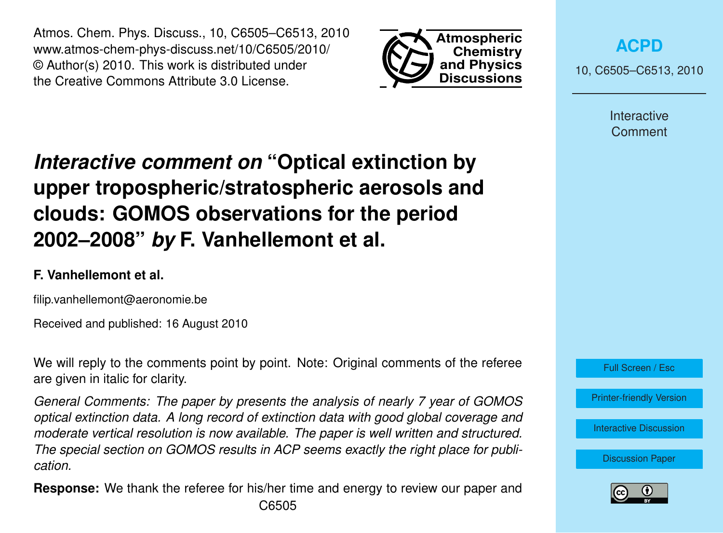Atmos. Chem. Phys. Discuss., 10, C6505–C6513, 2010 www.atmos-chem-phys-discuss.net/10/C6505/2010/ © Author(s) 2010. This work is distributed under the Creative Commons Attribute 3.0 License.



**[ACPD](http://www.atmos-chem-phys-discuss.net)**

10, C6505–C6513, 2010

Interactive Comment

## *Interactive comment on* **"Optical extinction by upper tropospheric/stratospheric aerosols and clouds: GOMOS observations for the period 2002–2008"** *by* **F. Vanhellemont et al.**

## **F. Vanhellemont et al.**

filip.vanhellemont@aeronomie.be

Received and published: 16 August 2010

We will reply to the comments point by point. Note: Original comments of the referee are given in italic for clarity.

*General Comments: The paper by presents the analysis of nearly 7 year of GOMOS optical extinction data. A long record of extinction data with good global coverage and moderate vertical resolution is now available. The paper is well written and structured. The special section on GOMOS results in ACP seems exactly the right place for publication.*

**Response:** We thank the referee for his/her time and energy to review our paper and C6505

Full Screen / Esc

[Printer-friendly Version](http://www.atmos-chem-phys-discuss.net/10/C6505/2010/acpd-10-C6505-2010-print.pdf)

[Interactive Discussion](http://www.atmos-chem-phys-discuss.net/10/11109/2010/acpd-10-11109-2010-discussion.html)

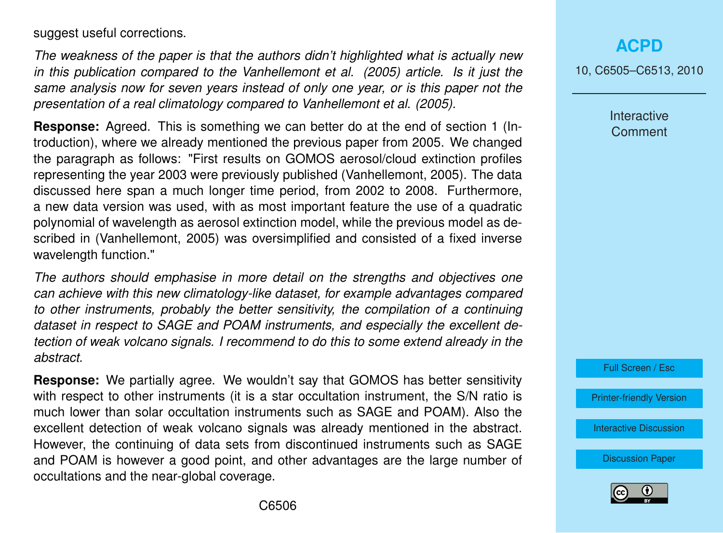suggest useful corrections.

*The weakness of the paper is that the authors didn't highlighted what is actually new in this publication compared to the Vanhellemont et al. (2005) article. Is it just the same analysis now for seven years instead of only one year, or is this paper not the presentation of a real climatology compared to Vanhellemont et al. (2005).*

**Response:** Agreed. This is something we can better do at the end of section 1 (Introduction), where we already mentioned the previous paper from 2005. We changed the paragraph as follows: "First results on GOMOS aerosol/cloud extinction profiles representing the year 2003 were previously published (Vanhellemont, 2005). The data discussed here span a much longer time period, from 2002 to 2008. Furthermore, a new data version was used, with as most important feature the use of a quadratic polynomial of wavelength as aerosol extinction model, while the previous model as described in (Vanhellemont, 2005) was oversimplified and consisted of a fixed inverse wavelength function."

*The authors should emphasise in more detail on the strengths and objectives one can achieve with this new climatology-like dataset, for example advantages compared to other instruments, probably the better sensitivity, the compilation of a continuing dataset in respect to SAGE and POAM instruments, and especially the excellent detection of weak volcano signals. I recommend to do this to some extend already in the abstract.*

**Response:** We partially agree. We wouldn't say that GOMOS has better sensitivity with respect to other instruments (it is a star occultation instrument, the S/N ratio is much lower than solar occultation instruments such as SAGE and POAM). Also the excellent detection of weak volcano signals was already mentioned in the abstract. However, the continuing of data sets from discontinued instruments such as SAGE and POAM is however a good point, and other advantages are the large number of occultations and the near-global coverage.

**[ACPD](http://www.atmos-chem-phys-discuss.net)**

10, C6505–C6513, 2010

Interactive **Comment** 

Full Screen / Esc

[Printer-friendly Version](http://www.atmos-chem-phys-discuss.net/10/C6505/2010/acpd-10-C6505-2010-print.pdf)

[Interactive Discussion](http://www.atmos-chem-phys-discuss.net/10/11109/2010/acpd-10-11109-2010-discussion.html)

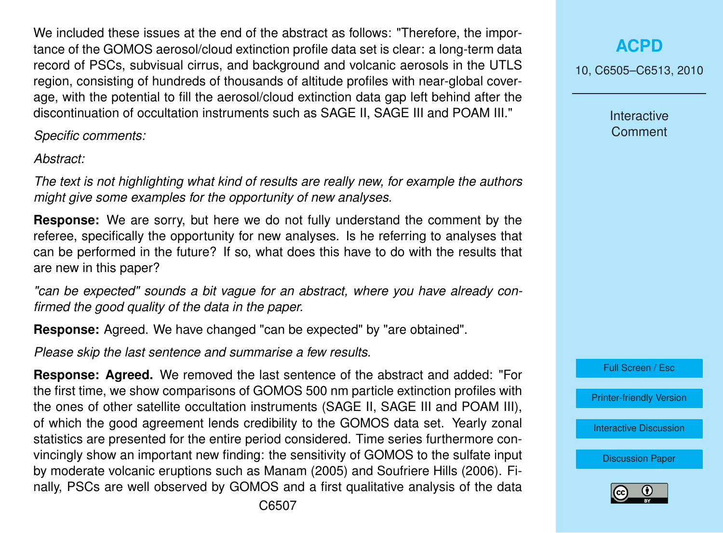We included these issues at the end of the abstract as follows: "Therefore, the importance of the GOMOS aerosol/cloud extinction profile data set is clear: a long-term data record of PSCs, subvisual cirrus, and background and volcanic aerosols in the UTLS region, consisting of hundreds of thousands of altitude profiles with near-global coverage, with the potential to fill the aerosol/cloud extinction data gap left behind after the discontinuation of occultation instruments such as SAGE II, SAGE III and POAM III."

*Specific comments:*

*Abstract:*

*The text is not highlighting what kind of results are really new, for example the authors might give some examples for the opportunity of new analyses.*

**Response:** We are sorry, but here we do not fully understand the comment by the referee, specifically the opportunity for new analyses. Is he referring to analyses that can be performed in the future? If so, what does this have to do with the results that are new in this paper?

*"can be expected" sounds a bit vague for an abstract, where you have already confirmed the good quality of the data in the paper.*

**Response:** Agreed. We have changed "can be expected" by "are obtained".

*Please skip the last sentence and summarise a few results.*

**Response: Agreed.** We removed the last sentence of the abstract and added: "For the first time, we show comparisons of GOMOS 500 nm particle extinction profiles with the ones of other satellite occultation instruments (SAGE II, SAGE III and POAM III), of which the good agreement lends credibility to the GOMOS data set. Yearly zonal statistics are presented for the entire period considered. Time series furthermore convincingly show an important new finding: the sensitivity of GOMOS to the sulfate input by moderate volcanic eruptions such as Manam (2005) and Soufriere Hills (2006). Finally, PSCs are well observed by GOMOS and a first qualitative analysis of the data

C6507

## **[ACPD](http://www.atmos-chem-phys-discuss.net)**

10, C6505–C6513, 2010

Interactive **Comment** 

Full Screen / Esc

[Printer-friendly Version](http://www.atmos-chem-phys-discuss.net/10/C6505/2010/acpd-10-C6505-2010-print.pdf)

[Interactive Discussion](http://www.atmos-chem-phys-discuss.net/10/11109/2010/acpd-10-11109-2010-discussion.html)

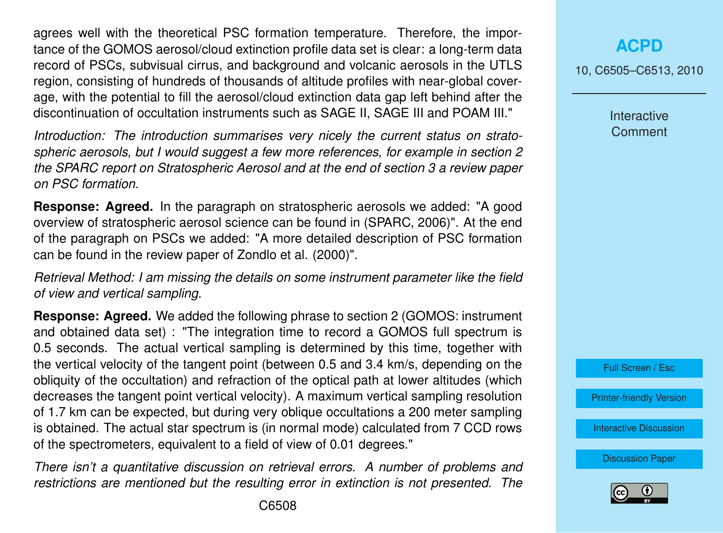agrees well with the theoretical PSC formation temperature. Therefore, the importance of the GOMOS aerosol/cloud extinction profile data set is clear: a long-term data record of PSCs, subvisual cirrus, and background and volcanic aerosols in the UTLS region, consisting of hundreds of thousands of altitude profiles with near-global coverage, with the potential to fill the aerosol/cloud extinction data gap left behind after the discontinuation of occultation instruments such as SAGE II, SAGE III and POAM III."

*Introduction: The introduction summarises very nicely the current status on stratospheric aerosols, but I would suggest a few more references, for example in section 2 the SPARC report on Stratospheric Aerosol and at the end of section 3 a review paper on PSC formation.*

**Response: Agreed.** In the paragraph on stratospheric aerosols we added: "A good overview of stratospheric aerosol science can be found in (SPARC, 2006)". At the end of the paragraph on PSCs we added: "A more detailed description of PSC formation can be found in the review paper of Zondlo et al. (2000)".

*Retrieval Method: I am missing the details on some instrument parameter like the field of view and vertical sampling.*

**Response: Agreed.** We added the following phrase to section 2 (GOMOS: instrument and obtained data set) : "The integration time to record a GOMOS full spectrum is 0.5 seconds. The actual vertical sampling is determined by this time, together with the vertical velocity of the tangent point (between 0.5 and 3.4 km/s, depending on the obliquity of the occultation) and refraction of the optical path at lower altitudes (which decreases the tangent point vertical velocity). A maximum vertical sampling resolution of 1.7 km can be expected, but during very oblique occultations a 200 meter sampling is obtained. The actual star spectrum is (in normal mode) calculated from 7 CCD rows of the spectrometers, equivalent to a field of view of 0.01 degrees."

*There isn't a quantitative discussion on retrieval errors. A number of problems and restrictions are mentioned but the resulting error in extinction is not presented. The*

**[ACPD](http://www.atmos-chem-phys-discuss.net)**

10, C6505–C6513, 2010

Interactive **Comment** 



[Printer-friendly Version](http://www.atmos-chem-phys-discuss.net/10/C6505/2010/acpd-10-C6505-2010-print.pdf)

[Interactive Discussion](http://www.atmos-chem-phys-discuss.net/10/11109/2010/acpd-10-11109-2010-discussion.html)

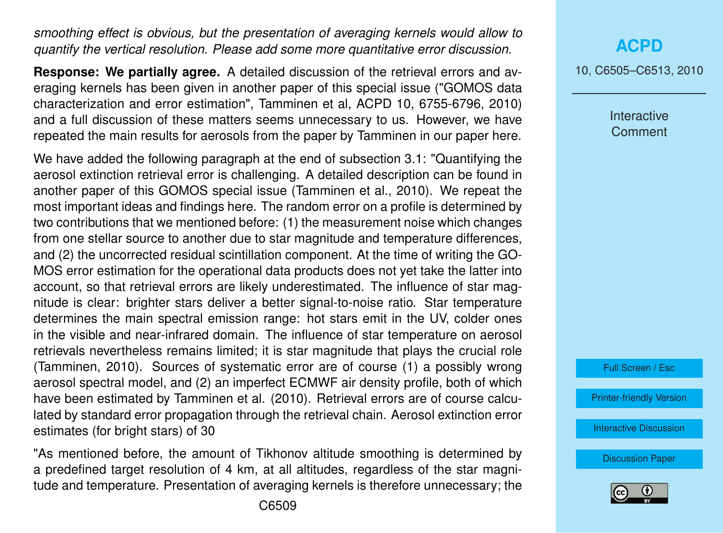*smoothing effect is obvious, but the presentation of averaging kernels would allow to quantify the vertical resolution. Please add some more quantitative error discussion.*

**Response: We partially agree.** A detailed discussion of the retrieval errors and averaging kernels has been given in another paper of this special issue ("GOMOS data characterization and error estimation", Tamminen et al, ACPD 10, 6755-6796, 2010) and a full discussion of these matters seems unnecessary to us. However, we have repeated the main results for aerosols from the paper by Tamminen in our paper here.

We have added the following paragraph at the end of subsection 3.1: "Quantifying the aerosol extinction retrieval error is challenging. A detailed description can be found in another paper of this GOMOS special issue (Tamminen et al., 2010). We repeat the most important ideas and findings here. The random error on a profile is determined by two contributions that we mentioned before: (1) the measurement noise which changes from one stellar source to another due to star magnitude and temperature differences, and (2) the uncorrected residual scintillation component. At the time of writing the GO-MOS error estimation for the operational data products does not yet take the latter into account, so that retrieval errors are likely underestimated. The influence of star magnitude is clear: brighter stars deliver a better signal-to-noise ratio. Star temperature determines the main spectral emission range: hot stars emit in the UV, colder ones in the visible and near-infrared domain. The influence of star temperature on aerosol retrievals nevertheless remains limited; it is star magnitude that plays the crucial role (Tamminen, 2010). Sources of systematic error are of course (1) a possibly wrong aerosol spectral model, and (2) an imperfect ECMWF air density profile, both of which have been estimated by Tamminen et al. (2010). Retrieval errors are of course calculated by standard error propagation through the retrieval chain. Aerosol extinction error estimates (for bright stars) of 30

"As mentioned before, the amount of Tikhonov altitude smoothing is determined by a predefined target resolution of 4 km, at all altitudes, regardless of the star magnitude and temperature. Presentation of averaging kernels is therefore unnecessary; the 10, C6505–C6513, 2010

**Interactive Comment** 

Full Screen / Esc

[Printer-friendly Version](http://www.atmos-chem-phys-discuss.net/10/C6505/2010/acpd-10-C6505-2010-print.pdf)

[Interactive Discussion](http://www.atmos-chem-phys-discuss.net/10/11109/2010/acpd-10-11109-2010-discussion.html)

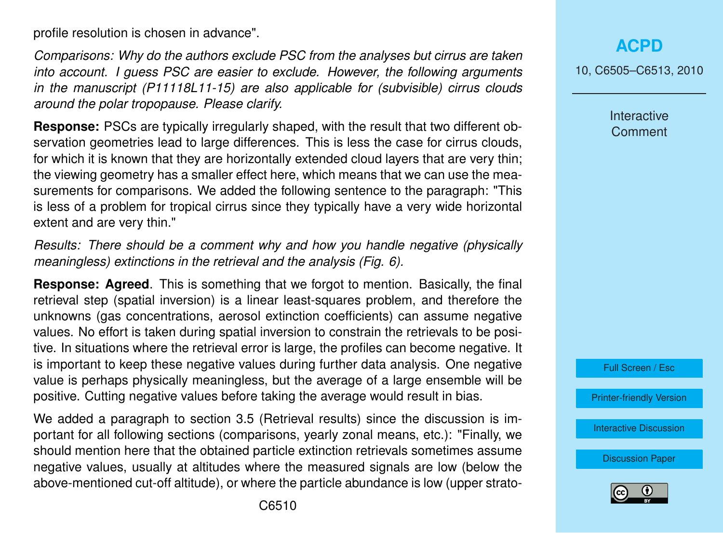profile resolution is chosen in advance".

*Comparisons: Why do the authors exclude PSC from the analyses but cirrus are taken into account. I guess PSC are easier to exclude. However, the following arguments in the manuscript (P11118L11-15) are also applicable for (subvisible) cirrus clouds around the polar tropopause. Please clarify.*

**Response:** PSCs are typically irregularly shaped, with the result that two different observation geometries lead to large differences. This is less the case for cirrus clouds, for which it is known that they are horizontally extended cloud layers that are very thin; the viewing geometry has a smaller effect here, which means that we can use the measurements for comparisons. We added the following sentence to the paragraph: "This is less of a problem for tropical cirrus since they typically have a very wide horizontal extent and are very thin."

*Results: There should be a comment why and how you handle negative (physically meaningless) extinctions in the retrieval and the analysis (Fig. 6).*

**Response: Agreed**. This is something that we forgot to mention. Basically, the final retrieval step (spatial inversion) is a linear least-squares problem, and therefore the unknowns (gas concentrations, aerosol extinction coefficients) can assume negative values. No effort is taken during spatial inversion to constrain the retrievals to be positive. In situations where the retrieval error is large, the profiles can become negative. It is important to keep these negative values during further data analysis. One negative value is perhaps physically meaningless, but the average of a large ensemble will be positive. Cutting negative values before taking the average would result in bias.

We added a paragraph to section 3.5 (Retrieval results) since the discussion is important for all following sections (comparisons, yearly zonal means, etc.): "Finally, we should mention here that the obtained particle extinction retrievals sometimes assume negative values, usually at altitudes where the measured signals are low (below the above-mentioned cut-off altitude), or where the particle abundance is low (upper strato10, C6505–C6513, 2010

**Interactive Comment** 



[Printer-friendly Version](http://www.atmos-chem-phys-discuss.net/10/C6505/2010/acpd-10-C6505-2010-print.pdf)

[Interactive Discussion](http://www.atmos-chem-phys-discuss.net/10/11109/2010/acpd-10-11109-2010-discussion.html)

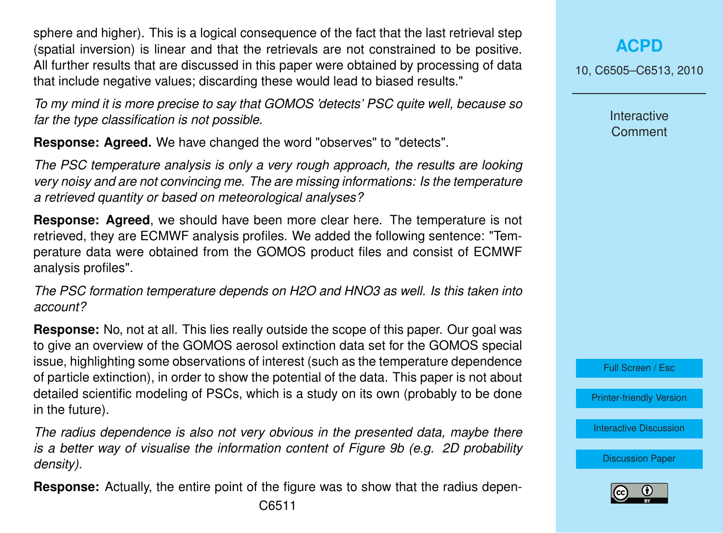sphere and higher). This is a logical consequence of the fact that the last retrieval step (spatial inversion) is linear and that the retrievals are not constrained to be positive. All further results that are discussed in this paper were obtained by processing of data that include negative values; discarding these would lead to biased results."

*To my mind it is more precise to say that GOMOS 'detects' PSC quite well, because so far the type classification is not possible.*

**Response: Agreed.** We have changed the word "observes" to "detects".

*The PSC temperature analysis is only a very rough approach, the results are looking very noisy and are not convincing me. The are missing informations: Is the temperature a retrieved quantity or based on meteorological analyses?*

**Response: Agreed**, we should have been more clear here. The temperature is not retrieved, they are ECMWF analysis profiles. We added the following sentence: "Temperature data were obtained from the GOMOS product files and consist of ECMWF analysis profiles".

*The PSC formation temperature depends on H2O and HNO3 as well. Is this taken into account?*

**Response:** No, not at all. This lies really outside the scope of this paper. Our goal was to give an overview of the GOMOS aerosol extinction data set for the GOMOS special issue, highlighting some observations of interest (such as the temperature dependence of particle extinction), in order to show the potential of the data. This paper is not about detailed scientific modeling of PSCs, which is a study on its own (probably to be done in the future).

*The radius dependence is also not very obvious in the presented data, maybe there is a better way of visualise the information content of Figure 9b (e.g. 2D probability density).*

**Response:** Actually, the entire point of the figure was to show that the radius depen-

10, C6505–C6513, 2010

Interactive **Comment** 



[Printer-friendly Version](http://www.atmos-chem-phys-discuss.net/10/C6505/2010/acpd-10-C6505-2010-print.pdf)

[Interactive Discussion](http://www.atmos-chem-phys-discuss.net/10/11109/2010/acpd-10-11109-2010-discussion.html)

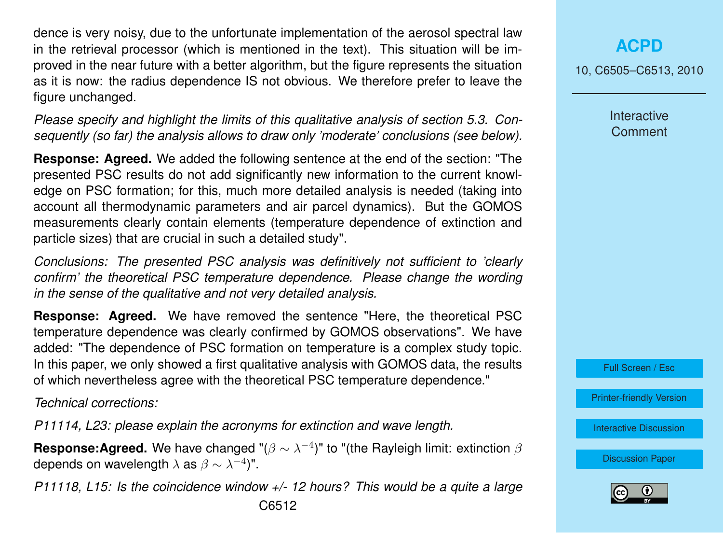dence is very noisy, due to the unfortunate implementation of the aerosol spectral law in the retrieval processor (which is mentioned in the text). This situation will be improved in the near future with a better algorithm, but the figure represents the situation as it is now: the radius dependence IS not obvious. We therefore prefer to leave the figure unchanged.

*Please specify and highlight the limits of this qualitative analysis of section 5.3. Consequently (so far) the analysis allows to draw only 'moderate' conclusions (see below).*

**Response: Agreed.** We added the following sentence at the end of the section: "The presented PSC results do not add significantly new information to the current knowledge on PSC formation; for this, much more detailed analysis is needed (taking into account all thermodynamic parameters and air parcel dynamics). But the GOMOS measurements clearly contain elements (temperature dependence of extinction and particle sizes) that are crucial in such a detailed study".

*Conclusions: The presented PSC analysis was definitively not sufficient to 'clearly confirm' the theoretical PSC temperature dependence. Please change the wording in the sense of the qualitative and not very detailed analysis.*

**Response: Agreed.** We have removed the sentence "Here, the theoretical PSC temperature dependence was clearly confirmed by GOMOS observations". We have added: "The dependence of PSC formation on temperature is a complex study topic. In this paper, we only showed a first qualitative analysis with GOMOS data, the results of which nevertheless agree with the theoretical PSC temperature dependence."

*Technical corrections:*

*P11114, L23: please explain the acronyms for extinction and wave length.*

**Response:Agreed.** We have changed " $(\beta \sim \lambda^{-4})$ " to "(the Rayleigh limit: extinction  $\beta$ depends on wavelength  $\lambda$  as  $\beta \sim \lambda^{-4})$ ".

*P11118, L15: Is the coincidence window +/- 12 hours? This would be a quite a large* C6512

**[ACPD](http://www.atmos-chem-phys-discuss.net)**

10, C6505–C6513, 2010

**Interactive Comment** 

Full Screen / Esc

[Printer-friendly Version](http://www.atmos-chem-phys-discuss.net/10/C6505/2010/acpd-10-C6505-2010-print.pdf)

[Interactive Discussion](http://www.atmos-chem-phys-discuss.net/10/11109/2010/acpd-10-11109-2010-discussion.html)